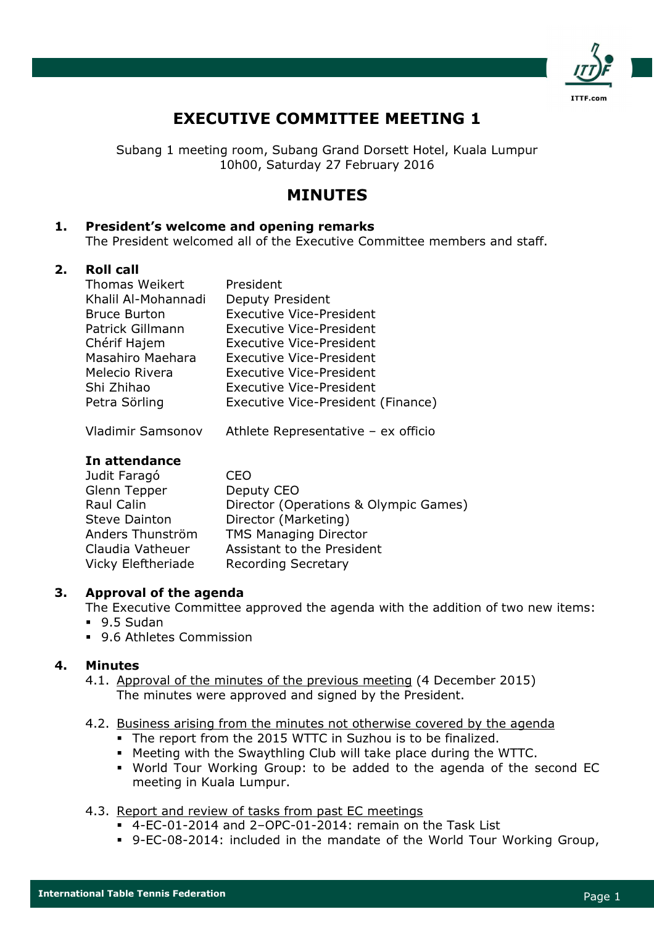

# EXECUTIVE COMMITTEE MEETING 1

Subang 1 meeting room, Subang Grand Dorsett Hotel, Kuala Lumpur 10h00, Saturday 27 February 2016

# MINUTES

# 1. President's welcome and opening remarks

The President welcomed all of the Executive Committee members and staff.

#### 2. Roll call

| Thomas Weikert      | President                          |
|---------------------|------------------------------------|
| Khalil Al-Mohannadi | <b>Deputy President</b>            |
| <b>Bruce Burton</b> | <b>Executive Vice-President</b>    |
| Patrick Gillmann    | <b>Executive Vice-President</b>    |
| Chérif Hajem        | <b>Executive Vice-President</b>    |
| Masahiro Maehara    | <b>Executive Vice-President</b>    |
| Melecio Rivera      | <b>Executive Vice-President</b>    |
| Shi Zhihao          | <b>Executive Vice-President</b>    |
| Petra Sörling       | Executive Vice-President (Finance) |

Vladimir Samsonov Athlete Representative – ex officio

#### In attendance

| Judit Faragó         | CFO                                   |
|----------------------|---------------------------------------|
| Glenn Tepper         | Deputy CEO                            |
| Raul Calin           | Director (Operations & Olympic Games) |
| <b>Steve Dainton</b> | Director (Marketing)                  |
| Anders Thunström     | <b>TMS Managing Director</b>          |
| Claudia Vatheuer     | Assistant to the President            |
| Vicky Eleftheriade   | <b>Recording Secretary</b>            |

# 3. Approval of the agenda

The Executive Committee approved the agenda with the addition of two new items:

- 9.5 Sudan
- 9.6 Athletes Commission

# 4. Minutes

4.1. Approval of the minutes of the previous meeting (4 December 2015) The minutes were approved and signed by the President.

#### 4.2. Business arising from the minutes not otherwise covered by the agenda

- The report from the 2015 WTTC in Suzhou is to be finalized.
- Meeting with the Swaythling Club will take place during the WTTC.
- World Tour Working Group: to be added to the agenda of the second EC meeting in Kuala Lumpur.
- 4.3. Report and review of tasks from past EC meetings
	- 4-EC-01-2014 and 2–OPC-01-2014: remain on the Task List
	- 9-EC-08-2014: included in the mandate of the World Tour Working Group,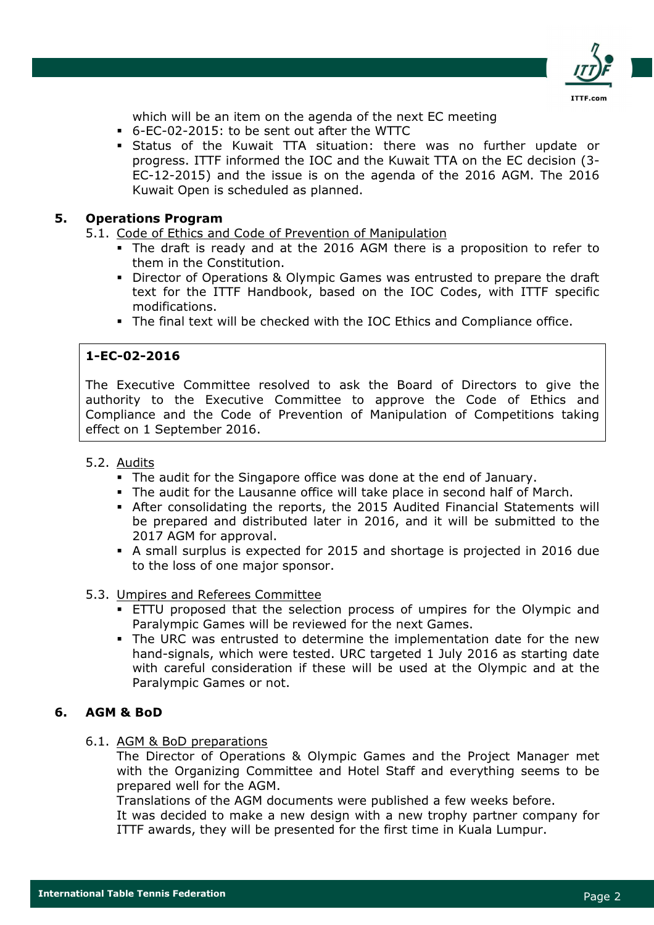

which will be an item on the agenda of the next EC meeting

- 6-EC-02-2015: to be sent out after the WTTC
- Status of the Kuwait TTA situation: there was no further update or progress. ITTF informed the IOC and the Kuwait TTA on the EC decision (3- EC-12-2015) and the issue is on the agenda of the 2016 AGM. The 2016 Kuwait Open is scheduled as planned.

#### 5. Operations Program

5.1. Code of Ethics and Code of Prevention of Manipulation

- The draft is ready and at the 2016 AGM there is a proposition to refer to them in the Constitution.
- Director of Operations & Olympic Games was entrusted to prepare the draft text for the ITTF Handbook, based on the IOC Codes, with ITTF specific modifications.
- The final text will be checked with the IOC Ethics and Compliance office.

#### 1-EC-02-2016

The Executive Committee resolved to ask the Board of Directors to give the authority to the Executive Committee to approve the Code of Ethics and Compliance and the Code of Prevention of Manipulation of Competitions taking effect on 1 September 2016.

#### 5.2. Audits

- The audit for the Singapore office was done at the end of January.
- The audit for the Lausanne office will take place in second half of March.
- After consolidating the reports, the 2015 Audited Financial Statements will be prepared and distributed later in 2016, and it will be submitted to the 2017 AGM for approval.
- A small surplus is expected for 2015 and shortage is projected in 2016 due to the loss of one major sponsor.

#### 5.3. Umpires and Referees Committee

- ETTU proposed that the selection process of umpires for the Olympic and Paralympic Games will be reviewed for the next Games.
- The URC was entrusted to determine the implementation date for the new hand-signals, which were tested. URC targeted 1 July 2016 as starting date with careful consideration if these will be used at the Olympic and at the Paralympic Games or not.

#### 6. AGM & BoD

#### 6.1. AGM & BoD preparations

The Director of Operations & Olympic Games and the Project Manager met with the Organizing Committee and Hotel Staff and everything seems to be prepared well for the AGM.

Translations of the AGM documents were published a few weeks before.

It was decided to make a new design with a new trophy partner company for ITTF awards, they will be presented for the first time in Kuala Lumpur.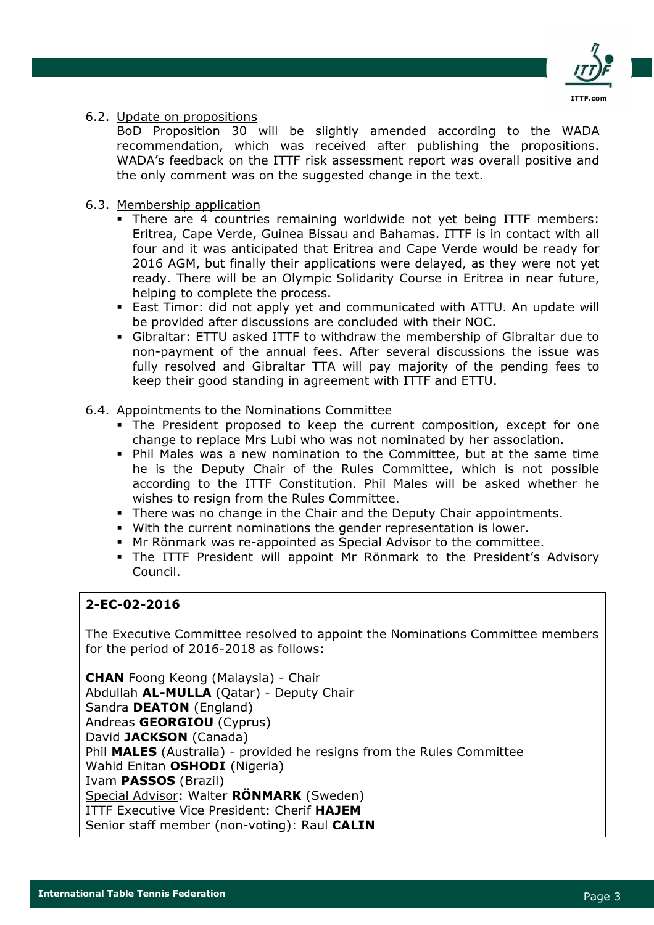

#### 6.2. Update on propositions

BoD Proposition 30 will be slightly amended according to the WADA recommendation, which was received after publishing the propositions. WADA's feedback on the ITTF risk assessment report was overall positive and the only comment was on the suggested change in the text.

#### 6.3. Membership application

- There are 4 countries remaining worldwide not yet being ITTF members: Eritrea, Cape Verde, Guinea Bissau and Bahamas. ITTF is in contact with all four and it was anticipated that Eritrea and Cape Verde would be ready for 2016 AGM, but finally their applications were delayed, as they were not yet ready. There will be an Olympic Solidarity Course in Eritrea in near future, helping to complete the process.
- East Timor: did not apply yet and communicated with ATTU. An update will be provided after discussions are concluded with their NOC.
- Gibraltar: ETTU asked ITTF to withdraw the membership of Gibraltar due to non-payment of the annual fees. After several discussions the issue was fully resolved and Gibraltar TTA will pay majority of the pending fees to keep their good standing in agreement with ITTF and ETTU.

#### 6.4. Appointments to the Nominations Committee

- The President proposed to keep the current composition, except for one change to replace Mrs Lubi who was not nominated by her association.
- Phil Males was a new nomination to the Committee, but at the same time he is the Deputy Chair of the Rules Committee, which is not possible according to the ITTF Constitution. Phil Males will be asked whether he wishes to resign from the Rules Committee.
- There was no change in the Chair and the Deputy Chair appointments.
- With the current nominations the gender representation is lower.
- Mr Rönmark was re-appointed as Special Advisor to the committee.
- The ITTF President will appoint Mr Rönmark to the President's Advisory Council.

# 2-EC-02-2016

The Executive Committee resolved to appoint the Nominations Committee members for the period of 2016-2018 as follows:

CHAN Foong Keong (Malaysia) - Chair Abdullah AL-MULLA (Qatar) - Deputy Chair Sandra **DEATON** (England) Andreas GEORGIOU (Cyprus) David JACKSON (Canada) Phil MALES (Australia) - provided he resigns from the Rules Committee Wahid Enitan **OSHODI** (Nigeria) Ivam PASSOS (Brazil) Special Advisor: Walter RÖNMARK (Sweden) ITTF Executive Vice President: Cherif HAJEM Senior staff member (non-voting): Raul CALIN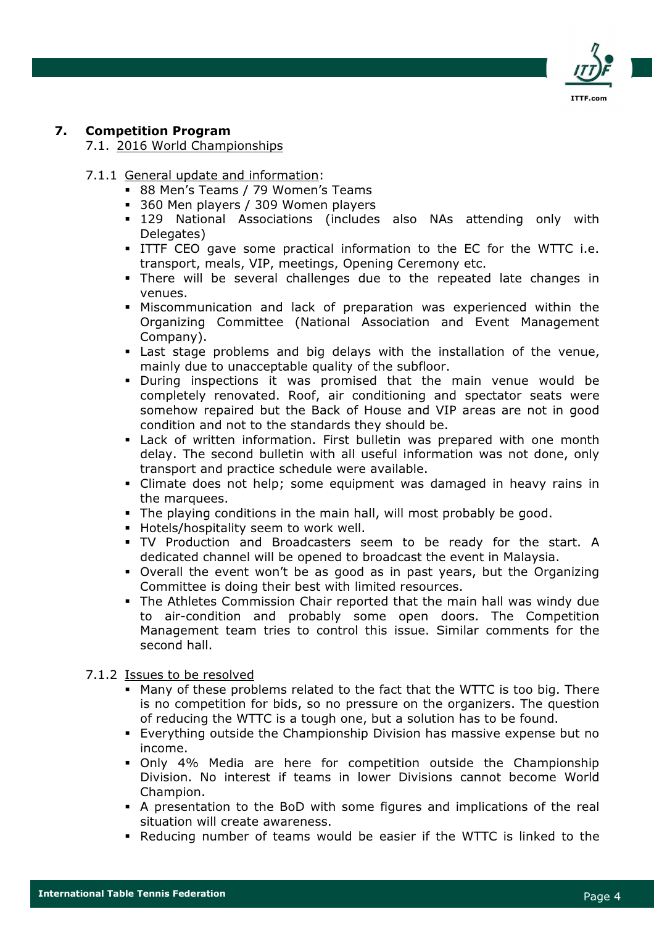

# 7. Competition Program

7.1. 2016 World Championships

- 7.1.1 General update and information:
	- 88 Men's Teams / 79 Women's Teams
	- **360 Men players / 309 Women players**
	- 129 National Associations (includes also NAs attending only with Delegates)
	- ITTF CEO gave some practical information to the EC for the WTTC i.e. transport, meals, VIP, meetings, Opening Ceremony etc.
	- There will be several challenges due to the repeated late changes in venues.
	- Miscommunication and lack of preparation was experienced within the Organizing Committee (National Association and Event Management Company).
	- Last stage problems and big delays with the installation of the venue, mainly due to unacceptable quality of the subfloor.
	- During inspections it was promised that the main venue would be completely renovated. Roof, air conditioning and spectator seats were somehow repaired but the Back of House and VIP areas are not in good condition and not to the standards they should be.
	- Lack of written information. First bulletin was prepared with one month delay. The second bulletin with all useful information was not done, only transport and practice schedule were available.
	- Climate does not help; some equipment was damaged in heavy rains in the marquees.
	- The playing conditions in the main hall, will most probably be good.
	- **Hotels/hospitality seem to work well.**
	- TV Production and Broadcasters seem to be ready for the start. A dedicated channel will be opened to broadcast the event in Malaysia.
	- Overall the event won't be as good as in past years, but the Organizing Committee is doing their best with limited resources.
	- The Athletes Commission Chair reported that the main hall was windy due to air-condition and probably some open doors. The Competition Management team tries to control this issue. Similar comments for the second hall.

#### 7.1.2 Issues to be resolved

- Many of these problems related to the fact that the WTTC is too big. There is no competition for bids, so no pressure on the organizers. The question of reducing the WTTC is a tough one, but a solution has to be found.
- Everything outside the Championship Division has massive expense but no income.
- Only 4% Media are here for competition outside the Championship Division. No interest if teams in lower Divisions cannot become World Champion.
- A presentation to the BoD with some figures and implications of the real situation will create awareness.
- Reducing number of teams would be easier if the WTTC is linked to the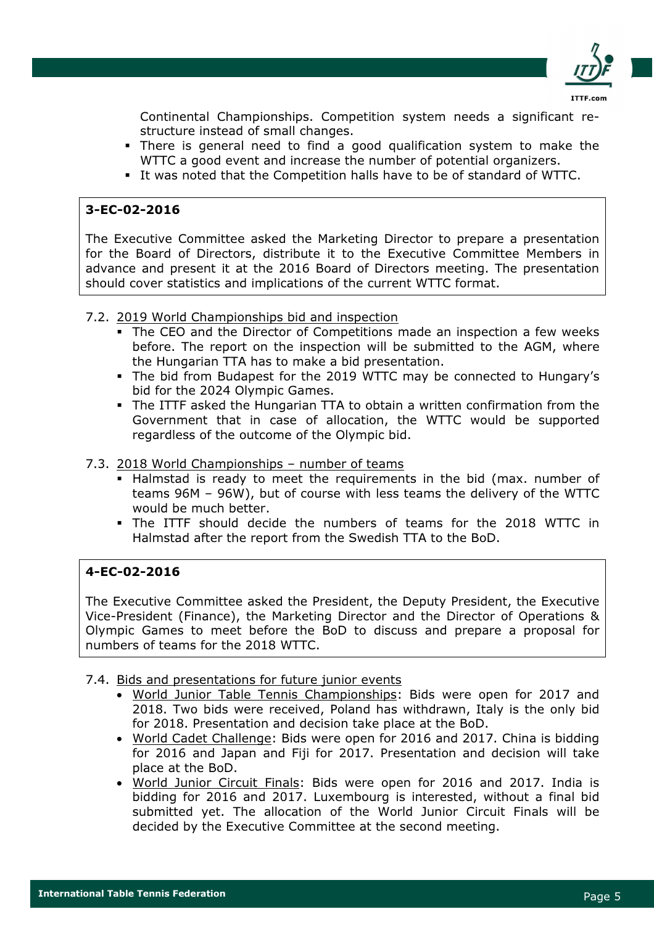

Continental Championships. Competition system needs a significant restructure instead of small changes.

- There is general need to find a good qualification system to make the WTTC a good event and increase the number of potential organizers.
- It was noted that the Competition halls have to be of standard of WTTC.

# 3-EC-02-2016

The Executive Committee asked the Marketing Director to prepare a presentation for the Board of Directors, distribute it to the Executive Committee Members in advance and present it at the 2016 Board of Directors meeting. The presentation should cover statistics and implications of the current WTTC format.

#### 7.2. 2019 World Championships bid and inspection

- The CEO and the Director of Competitions made an inspection a few weeks before. The report on the inspection will be submitted to the AGM, where the Hungarian TTA has to make a bid presentation.
- The bid from Budapest for the 2019 WTTC may be connected to Hungary's bid for the 2024 Olympic Games.
- The ITTF asked the Hungarian TTA to obtain a written confirmation from the Government that in case of allocation, the WTTC would be supported regardless of the outcome of the Olympic bid.

#### 7.3. 2018 World Championships – number of teams

- Halmstad is ready to meet the requirements in the bid (max. number of teams 96M – 96W), but of course with less teams the delivery of the WTTC would be much better.
- The ITTF should decide the numbers of teams for the 2018 WTTC in Halmstad after the report from the Swedish TTA to the BoD.

# 4-EC-02-2016

The Executive Committee asked the President, the Deputy President, the Executive Vice-President (Finance), the Marketing Director and the Director of Operations & Olympic Games to meet before the BoD to discuss and prepare a proposal for numbers of teams for the 2018 WTTC.

# 7.4. Bids and presentations for future junior events

- World Junior Table Tennis Championships: Bids were open for 2017 and 2018. Two bids were received, Poland has withdrawn, Italy is the only bid for 2018. Presentation and decision take place at the BoD.
- World Cadet Challenge: Bids were open for 2016 and 2017. China is bidding for 2016 and Japan and Fiji for 2017. Presentation and decision will take place at the BoD.
- World Junior Circuit Finals: Bids were open for 2016 and 2017. India is bidding for 2016 and 2017. Luxembourg is interested, without a final bid submitted yet. The allocation of the World Junior Circuit Finals will be decided by the Executive Committee at the second meeting.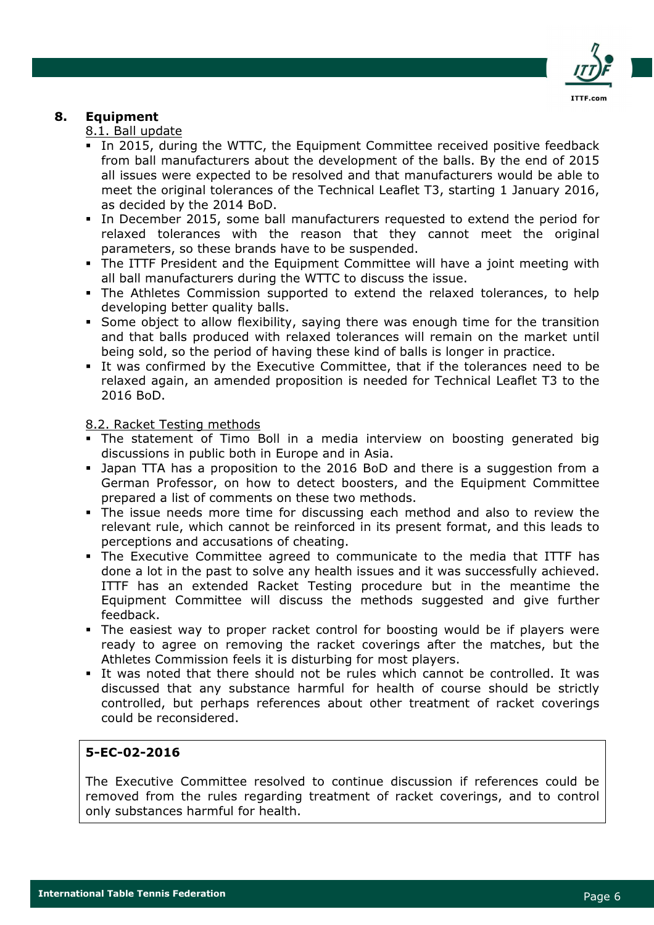

# 8. Equipment

#### 8.1. Ball update

- In 2015, during the WTTC, the Equipment Committee received positive feedback from ball manufacturers about the development of the balls. By the end of 2015 all issues were expected to be resolved and that manufacturers would be able to meet the original tolerances of the Technical Leaflet T3, starting 1 January 2016, as decided by the 2014 BoD.
- In December 2015, some ball manufacturers requested to extend the period for relaxed tolerances with the reason that they cannot meet the original parameters, so these brands have to be suspended.
- The ITTF President and the Equipment Committee will have a joint meeting with all ball manufacturers during the WTTC to discuss the issue.
- The Athletes Commission supported to extend the relaxed tolerances, to help developing better quality balls.
- Some object to allow flexibility, saying there was enough time for the transition and that balls produced with relaxed tolerances will remain on the market until being sold, so the period of having these kind of balls is longer in practice.
- It was confirmed by the Executive Committee, that if the tolerances need to be relaxed again, an amended proposition is needed for Technical Leaflet T3 to the 2016 BoD.

#### 8.2. Racket Testing methods

- The statement of Timo Boll in a media interview on boosting generated big discussions in public both in Europe and in Asia.
- Japan TTA has a proposition to the 2016 BoD and there is a suggestion from a German Professor, on how to detect boosters, and the Equipment Committee prepared a list of comments on these two methods.
- The issue needs more time for discussing each method and also to review the relevant rule, which cannot be reinforced in its present format, and this leads to perceptions and accusations of cheating.
- The Executive Committee agreed to communicate to the media that ITTF has done a lot in the past to solve any health issues and it was successfully achieved. ITTF has an extended Racket Testing procedure but in the meantime the Equipment Committee will discuss the methods suggested and give further feedback.
- The easiest way to proper racket control for boosting would be if players were ready to agree on removing the racket coverings after the matches, but the Athletes Commission feels it is disturbing for most players.
- It was noted that there should not be rules which cannot be controlled. It was discussed that any substance harmful for health of course should be strictly controlled, but perhaps references about other treatment of racket coverings could be reconsidered.

# 5-EC-02-2016

The Executive Committee resolved to continue discussion if references could be removed from the rules regarding treatment of racket coverings, and to control only substances harmful for health.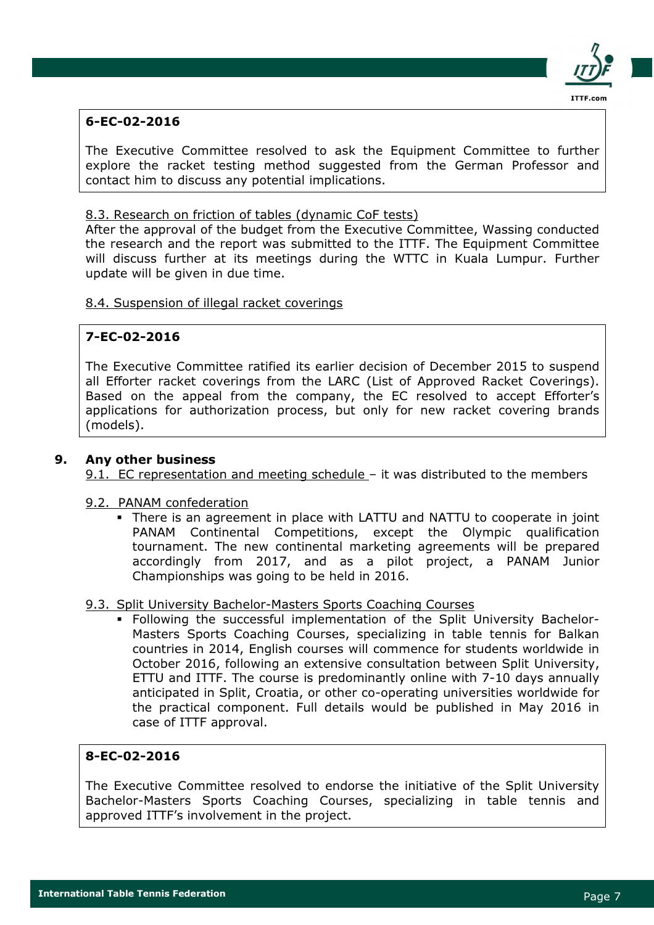

# 6-EC-02-2016

The Executive Committee resolved to ask the Equipment Committee to further explore the racket testing method suggested from the German Professor and contact him to discuss any potential implications.

# 8.3. Research on friction of tables (dynamic CoF tests)

After the approval of the budget from the Executive Committee, Wassing conducted the research and the report was submitted to the ITTF. The Equipment Committee will discuss further at its meetings during the WTTC in Kuala Lumpur. Further update will be given in due time.

#### 8.4. Suspension of illegal racket coverings

# 7-EC-02-2016

The Executive Committee ratified its earlier decision of December 2015 to suspend all Efforter racket coverings from the LARC (List of Approved Racket Coverings). Based on the appeal from the company, the EC resolved to accept Efforter's applications for authorization process, but only for new racket covering brands (models).

#### 9. Any other business

9.1. EC representation and meeting schedule - it was distributed to the members

#### 9.2. PANAM confederation

 There is an agreement in place with LATTU and NATTU to cooperate in joint PANAM Continental Competitions, except the Olympic qualification tournament. The new continental marketing agreements will be prepared accordingly from 2017, and as a pilot project, a PANAM Junior Championships was going to be held in 2016.

#### 9.3. Split University Bachelor-Masters Sports Coaching Courses

 Following the successful implementation of the Split University Bachelor-Masters Sports Coaching Courses, specializing in table tennis for Balkan countries in 2014, English courses will commence for students worldwide in October 2016, following an extensive consultation between Split University, ETTU and ITTF. The course is predominantly online with 7-10 days annually anticipated in Split, Croatia, or other co-operating universities worldwide for the practical component. Full details would be published in May 2016 in case of ITTF approval.

# 8-EC-02-2016

The Executive Committee resolved to endorse the initiative of the Split University Bachelor-Masters Sports Coaching Courses, specializing in table tennis and approved ITTF's involvement in the project.